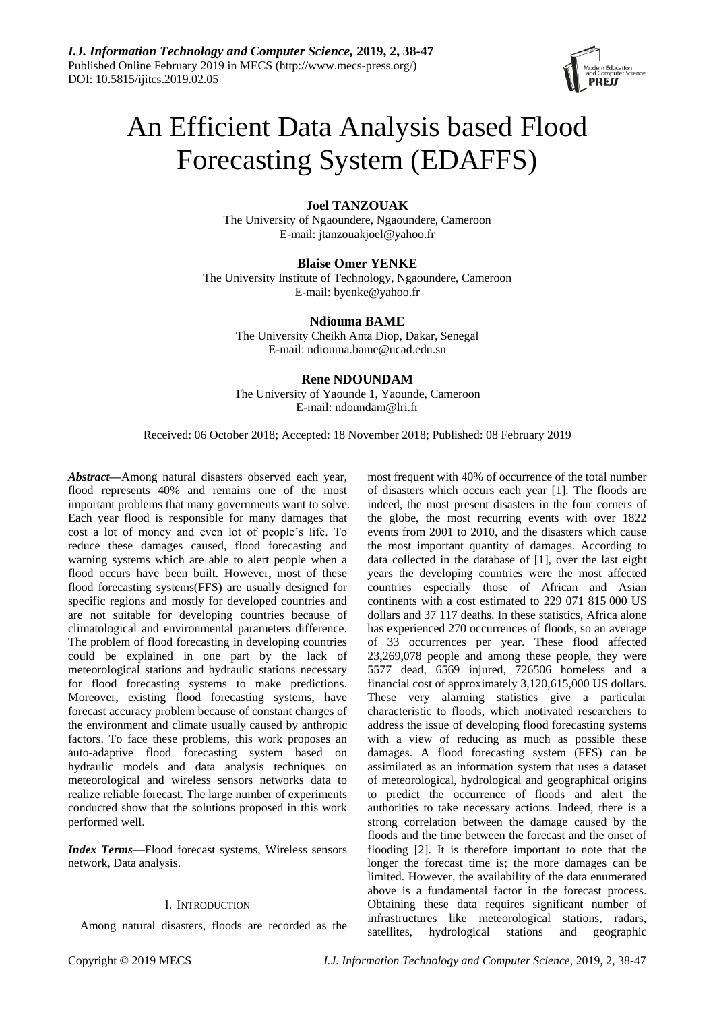

# An Efficient Data Analysis based Flood Forecasting System (EDAFFS)

# **Joel TANZOUAK**

The University of Ngaoundere, Ngaoundere, Cameroon E-mail: jtanzouakjoel@yahoo.fr

**Blaise Omer YENKE** The University Institute of Technology, Ngaoundere, Cameroon E-mail: byenke@yahoo.fr

> **Ndiouma BAME** The University Cheikh Anta Diop, Dakar, Senegal E-mail: ndiouma.bame@ucad.edu.sn

# **Rene NDOUNDAM**

The University of Yaounde 1, Yaounde, Cameroon E-mail: ndoundam@lri.fr

Received: 06 October 2018; Accepted: 18 November 2018; Published: 08 February 2019

*Abstract***—**Among natural disasters observed each year, flood represents 40% and remains one of the most important problems that many governments want to solve. Each year flood is responsible for many damages that cost a lot of money and even lot of people's life. To reduce these damages caused, flood forecasting and warning systems which are able to alert people when a flood occurs have been built. However, most of these flood forecasting systems(FFS) are usually designed for specific regions and mostly for developed countries and are not suitable for developing countries because of climatological and environmental parameters difference. The problem of flood forecasting in developing countries could be explained in one part by the lack of meteorological stations and hydraulic stations necessary for flood forecasting systems to make predictions. Moreover, existing flood forecasting systems, have forecast accuracy problem because of constant changes of the environment and climate usually caused by anthropic factors. To face these problems, this work proposes an auto-adaptive flood forecasting system based on hydraulic models and data analysis techniques on meteorological and wireless sensors networks data to realize reliable forecast. The large number of experiments conducted show that the solutions proposed in this work performed well.

*Index Terms***—**Flood forecast systems, Wireless sensors network, Data analysis.

# I. INTRODUCTION

Among natural disasters, floods are recorded as the

most frequent with 40% of occurrence of the total number of disasters which occurs each year [1]. The floods are indeed, the most present disasters in the four corners of the globe, the most recurring events with over 1822 events from 2001 to 2010, and the disasters which cause the most important quantity of damages. According to data collected in the database of [1], over the last eight years the developing countries were the most affected countries especially those of African and Asian continents with a cost estimated to 229 071 815 000 US dollars and 37 117 deaths. In these statistics, Africa alone has experienced 270 occurrences of floods, so an average of 33 occurrences per year. These flood affected 23,269,078 people and among these people, they were 5577 dead, 6569 injured, 726506 homeless and a financial cost of approximately 3,120,615,000 US dollars. These very alarming statistics give a particular characteristic to floods, which motivated researchers to address the issue of developing flood forecasting systems with a view of reducing as much as possible these damages. A flood forecasting system (FFS) can be assimilated as an information system that uses a dataset of meteorological, hydrological and geographical origins to predict the occurrence of floods and alert the authorities to take necessary actions. Indeed, there is a strong correlation between the damage caused by the floods and the time between the forecast and the onset of flooding [2]. It is therefore important to note that the longer the forecast time is; the more damages can be limited. However, the availability of the data enumerated above is a fundamental factor in the forecast process. Obtaining these data requires significant number of infrastructures like meteorological stations, radars, satellites, hydrological stations and geographic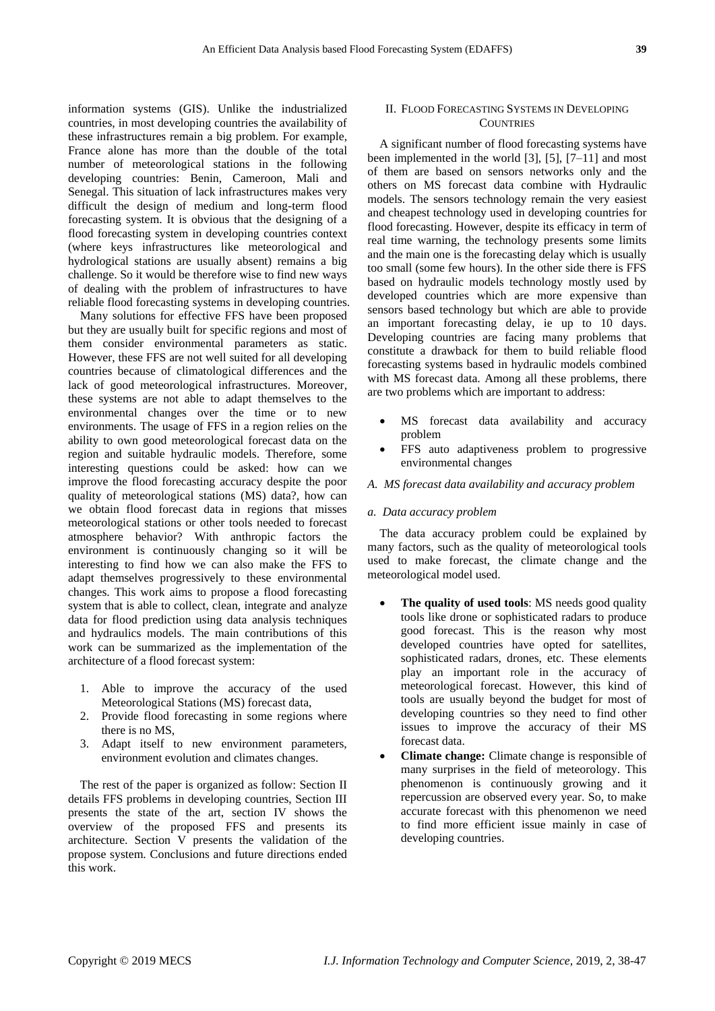information systems (GIS). Unlike the industrialized countries, in most developing countries the availability of these infrastructures remain a big problem. For example, France alone has more than the double of the total number of meteorological stations in the following developing countries: Benin, Cameroon, Mali and Senegal. This situation of lack infrastructures makes very difficult the design of medium and long-term flood forecasting system. It is obvious that the designing of a flood forecasting system in developing countries context (where keys infrastructures like meteorological and hydrological stations are usually absent) remains a big challenge. So it would be therefore wise to find new ways of dealing with the problem of infrastructures to have reliable flood forecasting systems in developing countries.

Many solutions for effective FFS have been proposed but they are usually built for specific regions and most of them consider environmental parameters as static. However, these FFS are not well suited for all developing countries because of climatological differences and the lack of good meteorological infrastructures. Moreover, these systems are not able to adapt themselves to the environmental changes over the time or to new environments. The usage of FFS in a region relies on the ability to own good meteorological forecast data on the region and suitable hydraulic models. Therefore, some interesting questions could be asked: how can we improve the flood forecasting accuracy despite the poor quality of meteorological stations (MS) data?, how can we obtain flood forecast data in regions that misses meteorological stations or other tools needed to forecast atmosphere behavior? With anthropic factors the environment is continuously changing so it will be interesting to find how we can also make the FFS to adapt themselves progressively to these environmental changes. This work aims to propose a flood forecasting system that is able to collect, clean, integrate and analyze data for flood prediction using data analysis techniques and hydraulics models. The main contributions of this work can be summarized as the implementation of the architecture of a flood forecast system:

- 1. Able to improve the accuracy of the used Meteorological Stations (MS) forecast data,
- 2. Provide flood forecasting in some regions where there is no MS,
- 3. Adapt itself to new environment parameters, environment evolution and climates changes.

The rest of the paper is organized as follow: Section II details FFS problems in developing countries, Section III presents the state of the art, section IV shows the overview of the proposed FFS and presents its architecture. Section V presents the validation of the propose system. Conclusions and future directions ended this work.

# II. FLOOD FORECASTING SYSTEMS IN DEVELOPING **COUNTRIES**

A significant number of flood forecasting systems have been implemented in the world [3], [5], [7–11] and most of them are based on sensors networks only and the others on MS forecast data combine with Hydraulic models. The sensors technology remain the very easiest and cheapest technology used in developing countries for flood forecasting. However, despite its efficacy in term of real time warning, the technology presents some limits and the main one is the forecasting delay which is usually too small (some few hours). In the other side there is FFS based on hydraulic models technology mostly used by developed countries which are more expensive than sensors based technology but which are able to provide an important forecasting delay, ie up to 10 days. Developing countries are facing many problems that constitute a drawback for them to build reliable flood forecasting systems based in hydraulic models combined with MS forecast data. Among all these problems, there are two problems which are important to address:

- MS forecast data availability and accuracy problem
- FFS auto adaptiveness problem to progressive environmental changes

## *A. MS forecast data availability and accuracy problem*

## *a. Data accuracy problem*

The data accuracy problem could be explained by many factors, such as the quality of meteorological tools used to make forecast, the climate change and the meteorological model used.

- **The quality of used tools:** MS needs good quality tools like drone or sophisticated radars to produce good forecast. This is the reason why most developed countries have opted for satellites, sophisticated radars, drones, etc. These elements play an important role in the accuracy of meteorological forecast. However, this kind of tools are usually beyond the budget for most of developing countries so they need to find other issues to improve the accuracy of their MS forecast data.
- **Climate change:** Climate change is responsible of many surprises in the field of meteorology. This phenomenon is continuously growing and it repercussion are observed every year. So, to make accurate forecast with this phenomenon we need to find more efficient issue mainly in case of developing countries.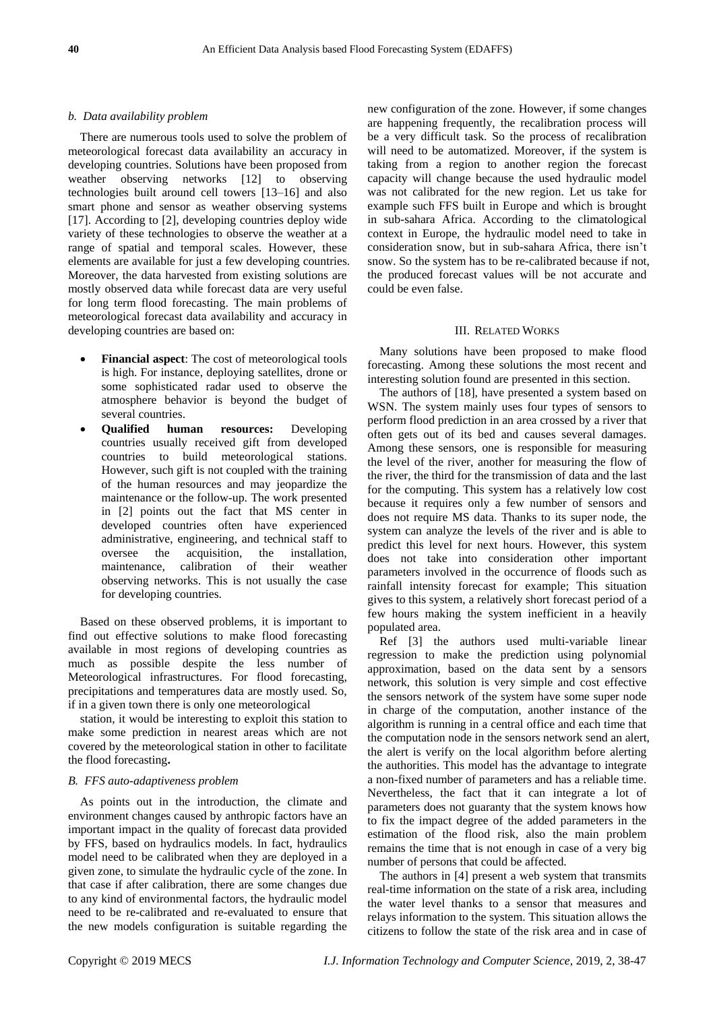# *b. Data availability problem*

There are numerous tools used to solve the problem of meteorological forecast data availability an accuracy in developing countries. Solutions have been proposed from weather observing networks [12] to observing technologies built around cell towers [13–16] and also smart phone and sensor as weather observing systems [17]. According to [2], developing countries deploy wide variety of these technologies to observe the weather at a range of spatial and temporal scales. However, these elements are available for just a few developing countries. Moreover, the data harvested from existing solutions are mostly observed data while forecast data are very useful for long term flood forecasting. The main problems of meteorological forecast data availability and accuracy in developing countries are based on:

- **Financial aspect**: The cost of meteorological tools is high. For instance, deploying satellites, drone or some sophisticated radar used to observe the atmosphere behavior is beyond the budget of several countries.
- **Qualified human resources:** Developing countries usually received gift from developed countries to build meteorological stations. However, such gift is not coupled with the training of the human resources and may jeopardize the maintenance or the follow-up. The work presented in [2] points out the fact that MS center in developed countries often have experienced administrative, engineering, and technical staff to oversee the acquisition, the installation, maintenance, calibration of their weather observing networks. This is not usually the case for developing countries.

Based on these observed problems, it is important to find out effective solutions to make flood forecasting available in most regions of developing countries as much as possible despite the less number of Meteorological infrastructures. For flood forecasting, precipitations and temperatures data are mostly used. So, if in a given town there is only one meteorological

station, it would be interesting to exploit this station to make some prediction in nearest areas which are not covered by the meteorological station in other to facilitate the flood forecasting**.**

## *B. FFS auto-adaptiveness problem*

As points out in the introduction, the climate and environment changes caused by anthropic factors have an important impact in the quality of forecast data provided by FFS, based on hydraulics models. In fact, hydraulics model need to be calibrated when they are deployed in a given zone, to simulate the hydraulic cycle of the zone. In that case if after calibration, there are some changes due to any kind of environmental factors, the hydraulic model need to be re-calibrated and re-evaluated to ensure that the new models configuration is suitable regarding the

new configuration of the zone. However, if some changes are happening frequently, the recalibration process will be a very difficult task. So the process of recalibration will need to be automatized. Moreover, if the system is taking from a region to another region the forecast capacity will change because the used hydraulic model was not calibrated for the new region. Let us take for example such FFS built in Europe and which is brought in sub-sahara Africa. According to the climatological context in Europe, the hydraulic model need to take in consideration snow, but in sub-sahara Africa, there isn't snow. So the system has to be re-calibrated because if not, the produced forecast values will be not accurate and could be even false.

## III. RELATED WORKS

Many solutions have been proposed to make flood forecasting. Among these solutions the most recent and interesting solution found are presented in this section.

The authors of [18], have presented a system based on WSN. The system mainly uses four types of sensors to perform flood prediction in an area crossed by a river that often gets out of its bed and causes several damages. Among these sensors, one is responsible for measuring the level of the river, another for measuring the flow of the river, the third for the transmission of data and the last for the computing. This system has a relatively low cost because it requires only a few number of sensors and does not require MS data. Thanks to its super node, the system can analyze the levels of the river and is able to predict this level for next hours. However, this system does not take into consideration other important parameters involved in the occurrence of floods such as rainfall intensity forecast for example; This situation gives to this system, a relatively short forecast period of a few hours making the system inefficient in a heavily populated area.

Ref [3] the authors used multi-variable linear regression to make the prediction using polynomial approximation, based on the data sent by a sensors network, this solution is very simple and cost effective the sensors network of the system have some super node in charge of the computation, another instance of the algorithm is running in a central office and each time that the computation node in the sensors network send an alert, the alert is verify on the local algorithm before alerting the authorities. This model has the advantage to integrate a non-fixed number of parameters and has a reliable time. Nevertheless, the fact that it can integrate a lot of parameters does not guaranty that the system knows how to fix the impact degree of the added parameters in the estimation of the flood risk, also the main problem remains the time that is not enough in case of a very big number of persons that could be affected.

The authors in [4] present a web system that transmits real-time information on the state of a risk area, including the water level thanks to a sensor that measures and relays information to the system. This situation allows the citizens to follow the state of the risk area and in case of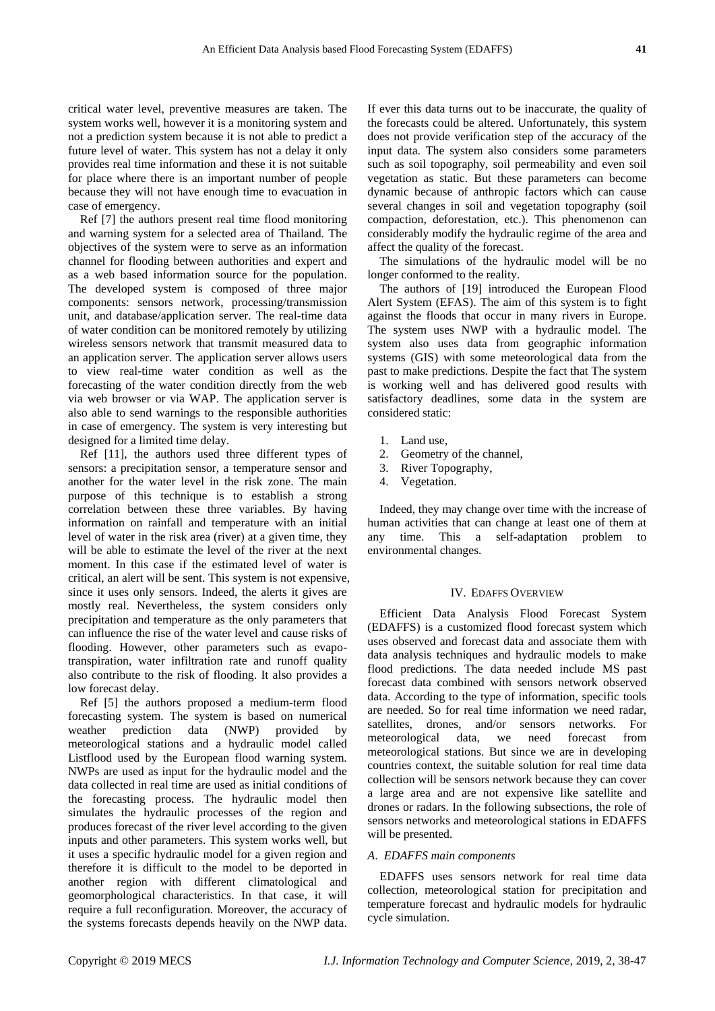critical water level, preventive measures are taken. The system works well, however it is a monitoring system and not a prediction system because it is not able to predict a future level of water. This system has not a delay it only provides real time information and these it is not suitable for place where there is an important number of people because they will not have enough time to evacuation in case of emergency.

Ref [7] the authors present real time flood monitoring and warning system for a selected area of Thailand. The objectives of the system were to serve as an information channel for flooding between authorities and expert and as a web based information source for the population. The developed system is composed of three major components: sensors network, processing/transmission unit, and database/application server. The real-time data of water condition can be monitored remotely by utilizing wireless sensors network that transmit measured data to an application server. The application server allows users to view real-time water condition as well as the forecasting of the water condition directly from the web via web browser or via WAP. The application server is also able to send warnings to the responsible authorities in case of emergency. The system is very interesting but designed for a limited time delay.

Ref [11], the authors used three different types of sensors: a precipitation sensor, a temperature sensor and another for the water level in the risk zone. The main purpose of this technique is to establish a strong correlation between these three variables. By having information on rainfall and temperature with an initial level of water in the risk area (river) at a given time, they will be able to estimate the level of the river at the next moment. In this case if the estimated level of water is critical, an alert will be sent. This system is not expensive, since it uses only sensors. Indeed, the alerts it gives are mostly real. Nevertheless, the system considers only precipitation and temperature as the only parameters that can influence the rise of the water level and cause risks of flooding. However, other parameters such as evapotranspiration, water infiltration rate and runoff quality also contribute to the risk of flooding. It also provides a low forecast delay.

Ref [5] the authors proposed a medium-term flood forecasting system. The system is based on numerical weather prediction data (NWP) provided by meteorological stations and a hydraulic model called Listflood used by the European flood warning system. NWPs are used as input for the hydraulic model and the data collected in real time are used as initial conditions of the forecasting process. The hydraulic model then simulates the hydraulic processes of the region and produces forecast of the river level according to the given inputs and other parameters. This system works well, but it uses a specific hydraulic model for a given region and therefore it is difficult to the model to be deported in another region with different climatological and geomorphological characteristics. In that case, it will require a full reconfiguration. Moreover, the accuracy of the systems forecasts depends heavily on the NWP data.

If ever this data turns out to be inaccurate, the quality of the forecasts could be altered. Unfortunately, this system does not provide verification step of the accuracy of the input data. The system also considers some parameters such as soil topography, soil permeability and even soil vegetation as static. But these parameters can become dynamic because of anthropic factors which can cause several changes in soil and vegetation topography (soil compaction, deforestation, etc.). This phenomenon can considerably modify the hydraulic regime of the area and affect the quality of the forecast.

The simulations of the hydraulic model will be no longer conformed to the reality.

The authors of [19] introduced the European Flood Alert System (EFAS). The aim of this system is to fight against the floods that occur in many rivers in Europe. The system uses NWP with a hydraulic model. The system also uses data from geographic information systems (GIS) with some meteorological data from the past to make predictions. Despite the fact that The system is working well and has delivered good results with satisfactory deadlines, some data in the system are considered static:

- 1. Land use,
- 2. Geometry of the channel,
- 3. River Topography,
- 4. Vegetation.

Indeed, they may change over time with the increase of human activities that can change at least one of them at any time. This a self-adaptation problem to environmental changes.

## IV. EDAFFS OVERVIEW

Efficient Data Analysis Flood Forecast System (EDAFFS) is a customized flood forecast system which uses observed and forecast data and associate them with data analysis techniques and hydraulic models to make flood predictions. The data needed include MS past forecast data combined with sensors network observed data. According to the type of information, specific tools are needed. So for real time information we need radar, satellites, drones, and/or sensors networks. For meteorological data, we need forecast from meteorological stations. But since we are in developing countries context, the suitable solution for real time data collection will be sensors network because they can cover a large area and are not expensive like satellite and drones or radars. In the following subsections, the role of sensors networks and meteorological stations in EDAFFS will be presented.

## *A*. *EDAFFS main components*

EDAFFS uses sensors network for real time data collection, meteorological station for precipitation and temperature forecast and hydraulic models for hydraulic cycle simulation.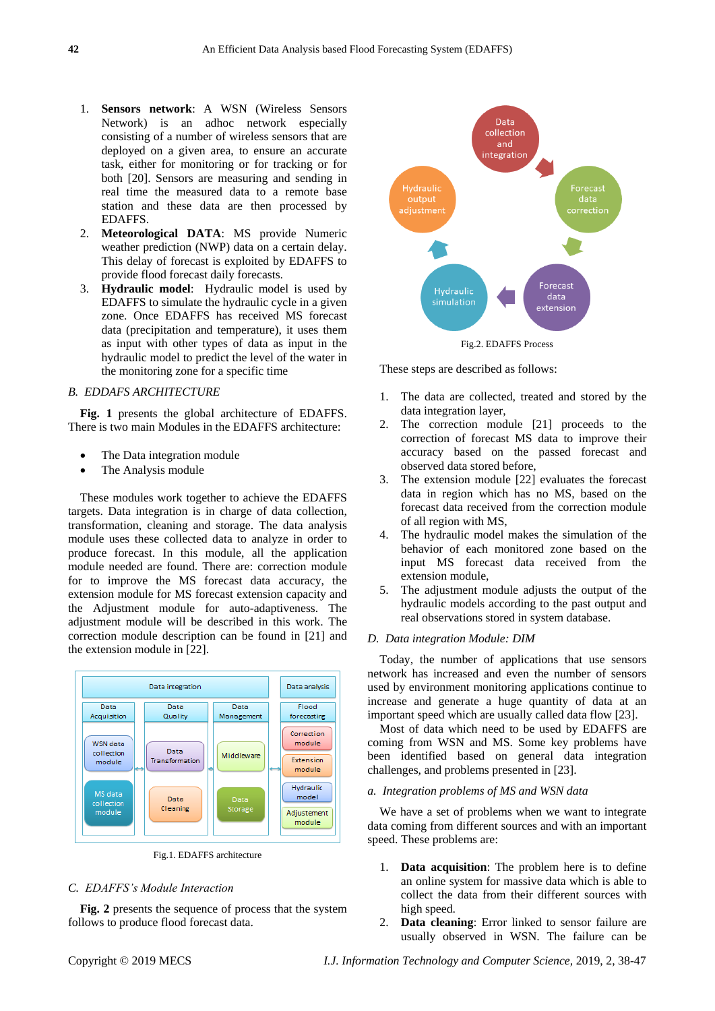- 1. **Sensors network**: A WSN (Wireless Sensors Network) is an adhoc network especially consisting of a number of wireless sensors that are deployed on a given area, to ensure an accurate task, either for monitoring or for tracking or for both [20]. Sensors are measuring and sending in real time the measured data to a remote base station and these data are then processed by EDAFFS.
- 2. **Meteorological DATA**: MS provide Numeric weather prediction (NWP) data on a certain delay. This delay of forecast is exploited by EDAFFS to provide flood forecast daily forecasts.
- 3. **Hydraulic model**: Hydraulic model is used by EDAFFS to simulate the hydraulic cycle in a given zone. Once EDAFFS has received MS forecast data (precipitation and temperature), it uses them as input with other types of data as input in the hydraulic model to predict the level of the water in the monitoring zone for a specific time

# *B. EDDAFS ARCHITECTURE*

**Fig. 1** presents the global architecture of EDAFFS. There is two main Modules in the EDAFFS architecture:

- The Data integration module
- The Analysis module

These modules work together to achieve the EDAFFS targets. Data integration is in charge of data collection, transformation, cleaning and storage. The data analysis module uses these collected data to analyze in order to produce forecast. In this module, all the application module needed are found. There are: correction module for to improve the MS forecast data accuracy, the extension module for MS forecast extension capacity and the Adjustment module for auto-adaptiveness. The adjustment module will be described in this work. The correction module description can be found in [21] and the extension module in [22].



Fig.1. EDAFFS architecture

# *C. EDAFFS's Module Interaction*

**Fig. 2** presents the sequence of process that the system follows to produce flood forecast data.



These steps are described as follows:

- 1. The data are collected, treated and stored by the data integration layer,
- 2. The correction module [21] proceeds to the correction of forecast MS data to improve their accuracy based on the passed forecast and observed data stored before,
- 3. The extension module [22] evaluates the forecast data in region which has no MS, based on the forecast data received from the correction module of all region with MS,
- 4. The hydraulic model makes the simulation of the behavior of each monitored zone based on the input MS forecast data received from the extension module,
- 5. The adjustment module adjusts the output of the hydraulic models according to the past output and real observations stored in system database.

# *D. Data integration Module: DIM*

Today, the number of applications that use sensors network has increased and even the number of sensors used by environment monitoring applications continue to increase and generate a huge quantity of data at an important speed which are usually called data flow [23].

Most of data which need to be used by EDAFFS are coming from WSN and MS. Some key problems have been identified based on general data integration challenges, and problems presented in [23].

#### *a. Integration problems of MS and WSN data*

We have a set of problems when we want to integrate data coming from different sources and with an important speed. These problems are:

- 1. **Data acquisition**: The problem here is to define an online system for massive data which is able to collect the data from their different sources with high speed.
- 2. **Data cleaning**: Error linked to sensor failure are usually observed in WSN. The failure can be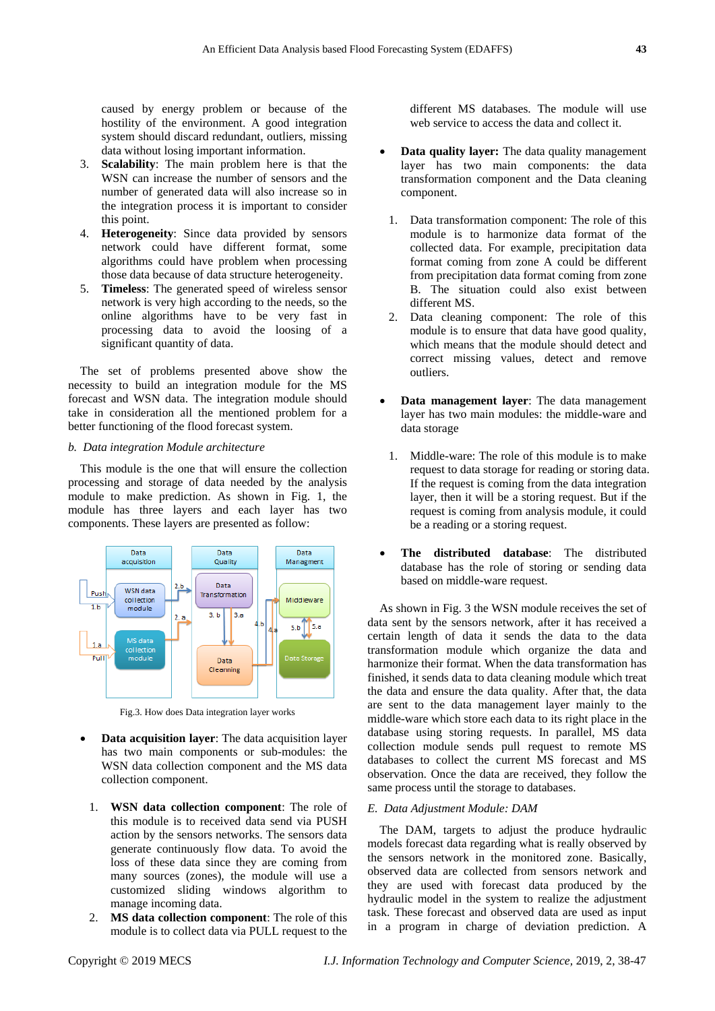caused by energy problem or because of the hostility of the environment. A good integration system should discard redundant, outliers, missing data without losing important information.

- 3. **Scalability**: The main problem here is that the WSN can increase the number of sensors and the number of generated data will also increase so in the integration process it is important to consider this point.
- 4. **Heterogeneity**: Since data provided by sensors network could have different format, some algorithms could have problem when processing those data because of data structure heterogeneity.
- 5. **Timeless**: The generated speed of wireless sensor network is very high according to the needs, so the online algorithms have to be very fast in processing data to avoid the loosing of a significant quantity of data.

The set of problems presented above show the necessity to build an integration module for the MS forecast and WSN data. The integration module should take in consideration all the mentioned problem for a better functioning of the flood forecast system.

## *b. Data integration Module architecture*

This module is the one that will ensure the collection processing and storage of data needed by the analysis module to make prediction. As shown in Fig. 1, the module has three layers and each layer has two components. These layers are presented as follow:



Fig.3. How does Data integration layer works

- **Data acquisition layer:** The data acquisition layer has two main components or sub-modules: the WSN data collection component and the MS data collection component.
	- 1. **WSN data collection component**: The role of this module is to received data send via PUSH action by the sensors networks. The sensors data generate continuously flow data. To avoid the loss of these data since they are coming from many sources (zones), the module will use a customized sliding windows algorithm to manage incoming data.
	- 2. **MS data collection component**: The role of this module is to collect data via PULL request to the

different MS databases. The module will use web service to access the data and collect it.

- **Data quality layer:** The data quality management layer has two main components: the data transformation component and the Data cleaning component.
- 1. Data transformation component: The role of this module is to harmonize data format of the collected data. For example, precipitation data format coming from zone A could be different from precipitation data format coming from zone B. The situation could also exist between different MS.
- 2. Data cleaning component: The role of this module is to ensure that data have good quality, which means that the module should detect and correct missing values, detect and remove outliers.
- **Data management layer**: The data management layer has two main modules: the middle-ware and data storage
- 1. Middle-ware: The role of this module is to make request to data storage for reading or storing data. If the request is coming from the data integration layer, then it will be a storing request. But if the request is coming from analysis module, it could be a reading or a storing request.
- **The distributed database**: The distributed database has the role of storing or sending data based on middle-ware request.

As shown in Fig. 3 the WSN module receives the set of data sent by the sensors network, after it has received a certain length of data it sends the data to the data transformation module which organize the data and harmonize their format. When the data transformation has finished, it sends data to data cleaning module which treat the data and ensure the data quality. After that, the data are sent to the data management layer mainly to the middle-ware which store each data to its right place in the database using storing requests. In parallel, MS data collection module sends pull request to remote MS databases to collect the current MS forecast and MS observation. Once the data are received, they follow the same process until the storage to databases.

# *E. Data Adjustment Module: DAM*

The DAM, targets to adjust the produce hydraulic models forecast data regarding what is really observed by the sensors network in the monitored zone. Basically, observed data are collected from sensors network and they are used with forecast data produced by the hydraulic model in the system to realize the adjustment task. These forecast and observed data are used as input in a program in charge of deviation prediction. A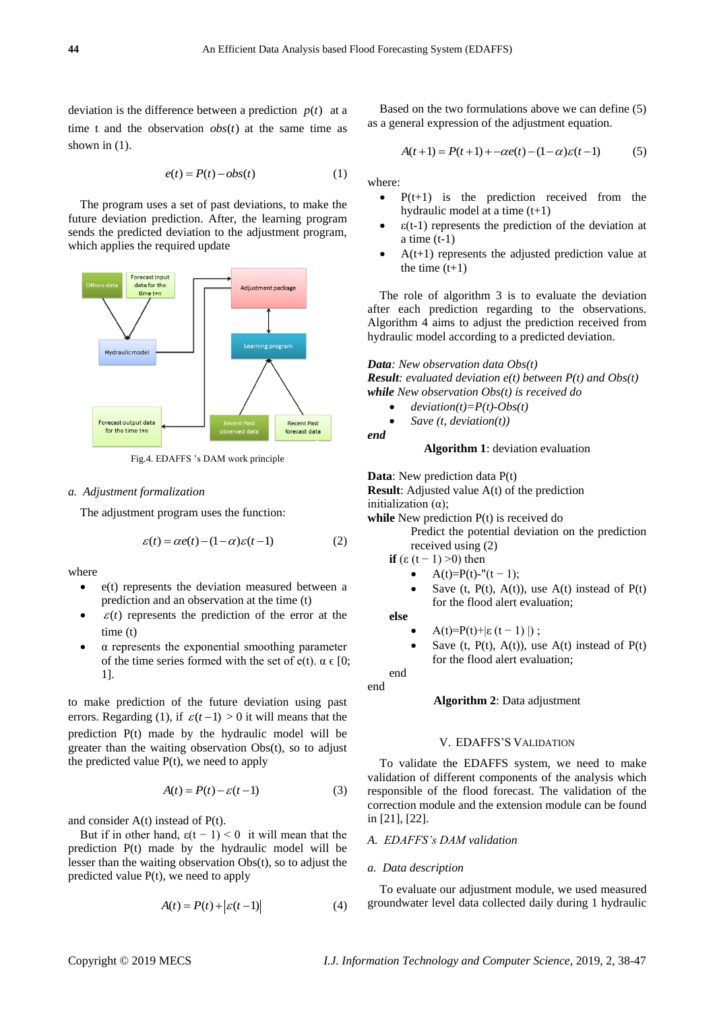deviation is the difference between a prediction  $p(t)$  at a time t and the observation  $obs(t)$  at the same time as shown in  $(1)$ .

$$
e(t) = P(t) - obs(t)
$$
 (1)

The program uses a set of past deviations, to make the future deviation prediction. After, the learning program sends the predicted deviation to the adjustment program, which applies the required update



Fig.4. EDAFFS 's DAM work principle

#### *a. Adjustment formalization*

The adjustment program uses the function:

$$
\varepsilon(t) = \alpha e(t) - (1 - \alpha)\varepsilon(t - 1)
$$
 (2)

where

- $\bullet$  e(t) represents the deviation measured between a prediction and an observation at the time (t)
- $\epsilon(t)$  represents the prediction of the error at the time (t)
- α represents the exponential smoothing parameter of the time series formed with the set of e(t).  $\alpha \in [0;$ 1].

to make prediction of the future deviation using past errors. Regarding (1), if  $\varepsilon(t-1) > 0$  it will means that the prediction P(t) made by the hydraulic model will be greater than the waiting observation Obs(t), so to adjust the predicted value  $P(t)$ , we need to apply

$$
A(t) = P(t) - \varepsilon(t-1)
$$
 (3)

and consider  $A(t)$  instead of  $P(t)$ .

But if in other hand,  $\varepsilon(t - 1) < 0$  it will mean that the prediction P(t) made by the hydraulic model will be lesser than the waiting observation Obs(t), so to adjust the predicted value P(t), we need to apply

$$
A(t) = P(t) + \left| \varepsilon(t-1) \right| \tag{4}
$$

Based on the two formulations above we can define (5) as a general expression of the adjustment equation.

$$
A(t+1) = P(t+1) + -\alpha e(t) - (1-\alpha)\varepsilon(t-1)
$$
 (5)

where:

- $\bullet$  P(t+1) is the prediction received from the hydraulic model at a time (t+1)
- $\varepsilon(t-1)$  represents the prediction of the deviation at a time  $(t-1)$
- A(t+1) represents the adjusted prediction value at the time  $(t+1)$

The role of algorithm 3 is to evaluate the deviation after each prediction regarding to the observations. Algorithm 4 aims to adjust the prediction received from hydraulic model according to a predicted deviation.

*Data: New observation data Obs(t) Result: evaluated deviation e(t) between P(t) and Obs(t) while New observation Obs(t) is received do*

- $\bullet$  *deviation(t)=P(t)-Obs(t)*
- *Save (t, deviation(t))*

# **Algorithm 1**: deviation evaluation

**Data**: New prediction data P(t)

**Result**: Adjusted value A(t) of the prediction

initialization  $(α)$ ;

*end*

while New prediction  $P(t)$  is received do

Predict the potential deviation on the prediction received using (2)

if 
$$
(\varepsilon (t-1) > 0)
$$
 then

- $A(t)=P(t)-''(t-1);$
- Save (t,  $P(t)$ ,  $A(t)$ ), use  $A(t)$  instead of  $P(t)$ for the flood alert evaluation;

**else**

- A(t)=P(t)+|ε (t 1) |);
- Save (t,  $P(t)$ ,  $A(t)$ ), use  $A(t)$  instead of  $P(t)$ for the flood alert evaluation;

end end

# **Algorithm 2**: Data adjustment

# V. EDAFFS'S VALIDATION

To validate the EDAFFS system, we need to make validation of different components of the analysis which responsible of the flood forecast. The validation of the correction module and the extension module can be found in [21], [22].

# *A. EDAFFS's DAM validation*

#### *a. Data description*

To evaluate our adjustment module, we used measured groundwater level data collected daily during 1 hydraulic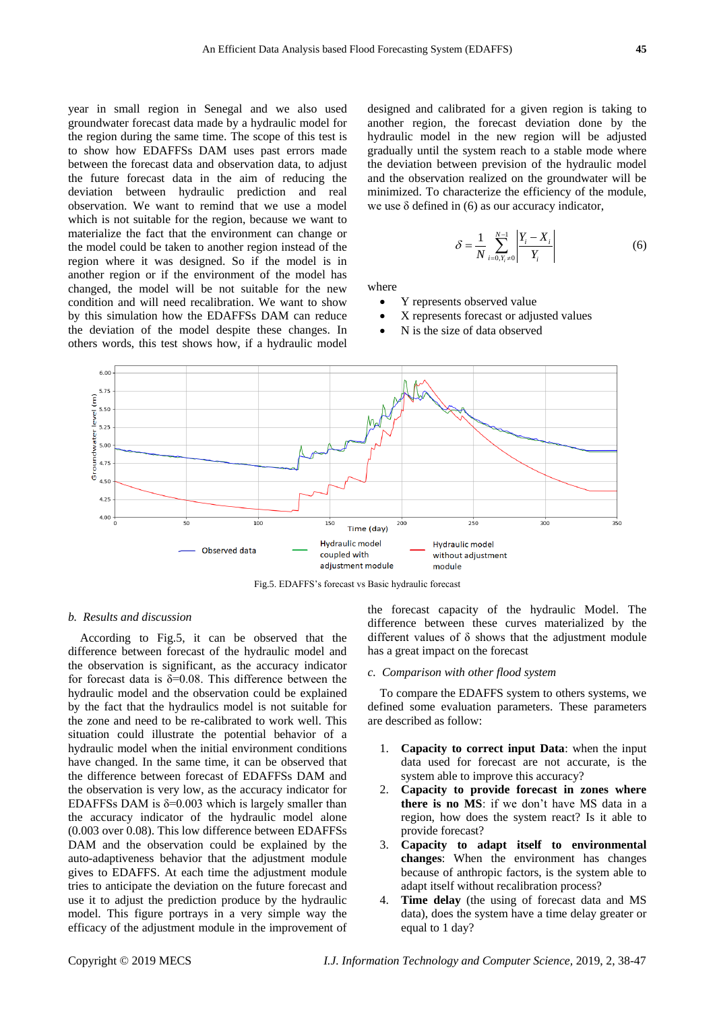year in small region in Senegal and we also used groundwater forecast data made by a hydraulic model for the region during the same time. The scope of this test is to show how EDAFFSs DAM uses past errors made between the forecast data and observation data, to adjust the future forecast data in the aim of reducing the deviation between hydraulic prediction and real observation. We want to remind that we use a model which is not suitable for the region, because we want to materialize the fact that the environment can change or the model could be taken to another region instead of the region where it was designed. So if the model is in another region or if the environment of the model has changed, the model will be not suitable for the new condition and will need recalibration. We want to show by this simulation how the EDAFFSs DAM can reduce the deviation of the model despite these changes. In others words, this test shows how, if a hydraulic model

designed and calibrated for a given region is taking to another region, the forecast deviation done by the hydraulic model in the new region will be adjusted gradually until the system reach to a stable mode where the deviation between prevision of the hydraulic model and the observation realized on the groundwater will be minimized. To characterize the efficiency of the module, we use  $\delta$  defined in (6) as our accuracy indicator,

$$
\delta = \frac{1}{N} \sum_{i=0, Y_i \neq 0}^{N-1} \left| \frac{Y_i - X_i}{Y_i} \right| \tag{6}
$$

where

- Y represents observed value
- X represents forecast or adjusted values
- N is the size of data observed



Fig.5. EDAFFS's forecast vs Basic hydraulic forecast

#### *b. Results and discussion*

According to Fig.5, it can be observed that the difference between forecast of the hydraulic model and the observation is significant, as the accuracy indicator for forecast data is  $\delta = 0.08$ . This difference between the hydraulic model and the observation could be explained by the fact that the hydraulics model is not suitable for the zone and need to be re-calibrated to work well. This situation could illustrate the potential behavior of a hydraulic model when the initial environment conditions have changed. In the same time, it can be observed that the difference between forecast of EDAFFSs DAM and the observation is very low, as the accuracy indicator for EDAFFSs DAM is  $\delta$ =0.003 which is largely smaller than the accuracy indicator of the hydraulic model alone (0.003 over 0.08). This low difference between EDAFFSs DAM and the observation could be explained by the auto-adaptiveness behavior that the adjustment module gives to EDAFFS. At each time the adjustment module tries to anticipate the deviation on the future forecast and use it to adjust the prediction produce by the hydraulic model. This figure portrays in a very simple way the efficacy of the adjustment module in the improvement of the forecast capacity of the hydraulic Model. The difference between these curves materialized by the different values of δ shows that the adjustment module has a great impact on the forecast

#### *c. Comparison with other flood system*

To compare the EDAFFS system to others systems, we defined some evaluation parameters. These parameters are described as follow:

- 1. **Capacity to correct input Data**: when the input data used for forecast are not accurate, is the system able to improve this accuracy?
- 2. **Capacity to provide forecast in zones where there is no MS**: if we don't have MS data in a region, how does the system react? Is it able to provide forecast?
- 3. **Capacity to adapt itself to environmental changes**: When the environment has changes because of anthropic factors, is the system able to adapt itself without recalibration process?
- Time delay (the using of forecast data and MS data), does the system have a time delay greater or equal to 1 day?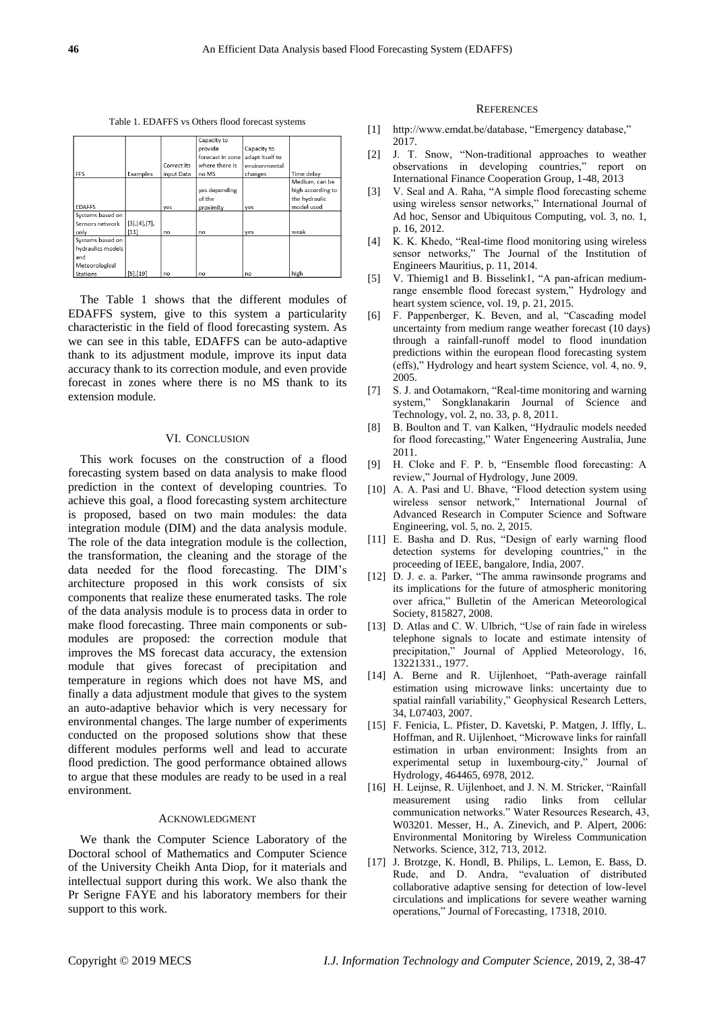Table 1. EDAFFS vs Others flood forecast systems

|                   |              |             | Capacity to        |                 |                   |
|-------------------|--------------|-------------|--------------------|-----------------|-------------------|
|                   |              |             | provide            | Capacity to     |                   |
|                   |              |             | forecast in zone I | adapt itself to |                   |
|                   |              | Correct its | where there is     | environmental   |                   |
| FFS               | Examples     | input Data  | no MS              | changes         | Time delay        |
|                   |              |             |                    |                 | Medium, can be    |
|                   |              |             | yes depending      |                 | high according to |
|                   |              |             | of the             |                 | the hydraulic     |
| <b>EDAFFS</b>     |              | yes         | proximity          | yes             | model used        |
| Systems based on  |              |             |                    |                 |                   |
| Sensors network   | [3],[4],[7]  |             |                    |                 |                   |
| only              | $[11]$       | no          | no                 | ves             | weak              |
| Systems based on  |              |             |                    |                 |                   |
| hydraulics models |              |             |                    |                 |                   |
| and               |              |             |                    |                 |                   |
| Meteorological    |              |             |                    |                 |                   |
| <b>Stations</b>   | $[5]$ , [19] | nQ          | no                 | no              | high              |

The Table 1 shows that the different modules of EDAFFS system, give to this system a particularity characteristic in the field of flood forecasting system. As we can see in this table, EDAFFS can be auto-adaptive thank to its adjustment module, improve its input data accuracy thank to its correction module, and even provide forecast in zones where there is no MS thank to its extension module.

#### VI. CONCLUSION

This work focuses on the construction of a flood forecasting system based on data analysis to make flood prediction in the context of developing countries. To achieve this goal, a flood forecasting system architecture is proposed, based on two main modules: the data integration module (DIM) and the data analysis module. The role of the data integration module is the collection, the transformation, the cleaning and the storage of the data needed for the flood forecasting. The DIM's architecture proposed in this work consists of six components that realize these enumerated tasks. The role of the data analysis module is to process data in order to make flood forecasting. Three main components or submodules are proposed: the correction module that improves the MS forecast data accuracy, the extension module that gives forecast of precipitation and temperature in regions which does not have MS, and finally a data adjustment module that gives to the system an auto-adaptive behavior which is very necessary for environmental changes. The large number of experiments conducted on the proposed solutions show that these different modules performs well and lead to accurate flood prediction. The good performance obtained allows to argue that these modules are ready to be used in a real environment.

### ACKNOWLEDGMENT

We thank the Computer Science Laboratory of the Doctoral school of Mathematics and Computer Science of the University Cheikh Anta Diop, for it materials and intellectual support during this work. We also thank the Pr Serigne FAYE and his laboratory members for their support to this work.

## **REFERENCES**

- [1] http://www.emdat.be/database, "Emergency database," 2017.
- [2] J. T. Snow, "Non-traditional approaches to weather observations in developing countries," report on International Finance Cooperation Group, 1-48, 2013
- [3] V. Seal and A. Raha, "A simple flood forecasting scheme using wireless sensor networks," International Journal of Ad hoc, Sensor and Ubiquitous Computing, vol. 3, no. 1, p. 16, 2012.
- [4] K. K. Khedo, "Real-time flood monitoring using wireless sensor networks," The Journal of the Institution of Engineers Mauritius, p. 11, 2014.
- [5] V. Thiemig1 and B. Bisselink1, "A pan-african mediumrange ensemble flood forecast system," Hydrology and heart system science, vol. 19, p. 21, 2015.
- [6] F. Pappenberger, K. Beven, and al, "Cascading model uncertainty from medium range weather forecast (10 days) through a rainfall-runoff model to flood inundation predictions within the european flood forecasting system (effs)," Hydrology and heart system Science, vol. 4, no. 9, 2005.
- [7] S. J. and Ootamakorn, "Real-time monitoring and warning system," Songklanakarin Journal of Science and Technology, vol. 2, no. 33, p. 8, 2011.
- [8] B. Boulton and T. van Kalken, "Hydraulic models needed for flood forecasting," Water Engeneering Australia, June 2011.
- [9] H. Cloke and F. P. b, "Ensemble flood forecasting: A review," Journal of Hydrology, June 2009.
- [10] A. A. Pasi and U. Bhave, "Flood detection system using wireless sensor network," International Journal of Advanced Research in Computer Science and Software Engineering, vol. 5, no. 2, 2015.
- [11] E. Basha and D. Rus, "Design of early warning flood detection systems for developing countries," in the proceeding of IEEE, bangalore, India, 2007.
- [12] D. J. e. a. Parker, "The amma rawinsonde programs and its implications for the future of atmospheric monitoring over africa," Bulletin of the American Meteorological Society, 815827, 2008.
- [13] D. Atlas and C. W. Ulbrich, "Use of rain fade in wireless telephone signals to locate and estimate intensity of precipitation," Journal of Applied Meteorology, 16, 13221331., 1977.
- [14] A. Berne and R. Uijlenhoet, "Path-average rainfall estimation using microwave links: uncertainty due to spatial rainfall variability," Geophysical Research Letters, 34, L07403, 2007.
- [15] F. Fenicia, L. Pfister, D. Kavetski, P. Matgen, J. Iffly, L. Hoffman, and R. Uijlenhoet, "Microwave links for rainfall estimation in urban environment: Insights from an experimental setup in luxembourg-city," Journal of Hydrology, 464465, 6978, 2012.
- [16] H. Leijnse, R. Uijlenhoet, and J. N. M. Stricker, "Rainfall measurement using radio links from cellular communication networks." Water Resources Research, 43, W03201. Messer, H., A. Zinevich, and P. Alpert, 2006: Environmental Monitoring by Wireless Communication Networks. Science, 312, 713, 2012.
- [17] J. Brotzge, K. Hondl, B. Philips, L. Lemon, E. Bass, D. Rude, and D. Andra, "evaluation of distributed collaborative adaptive sensing for detection of low-level circulations and implications for severe weather warning operations," Journal of Forecasting, 17318, 2010.